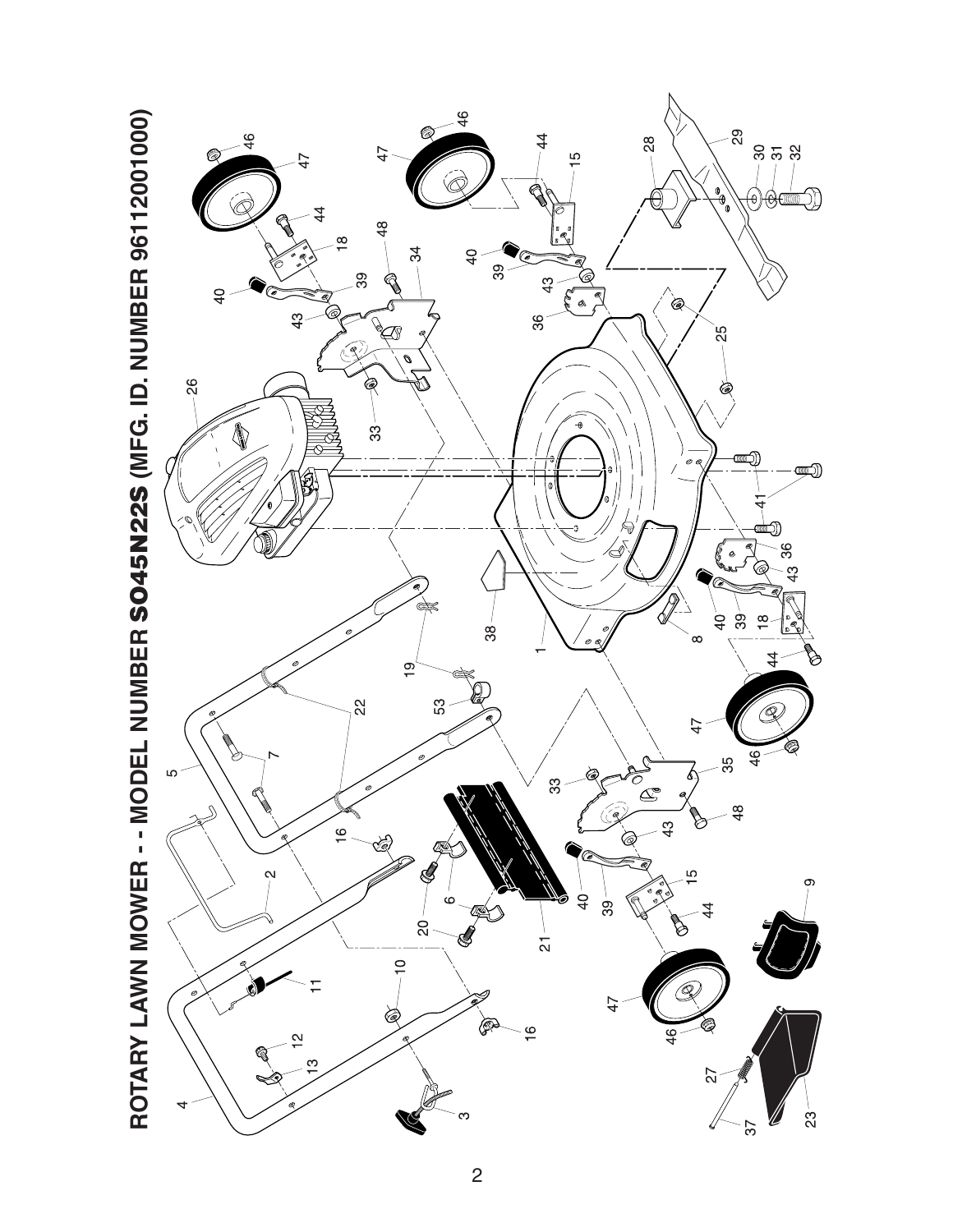